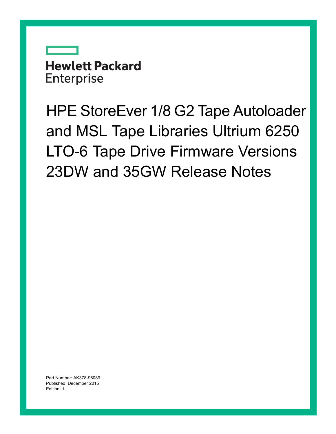# **Hewlett Packard Enterprise**

HPE StoreEver 1/8 G2 Tape Autoloader and MSL Tape Libraries Ultrium 6250 LTO-6 Tape Drive Firmware Versions 23DW and 35GW Release Notes

Part Number: AK378-96089 Published: December 2015 Edition: 1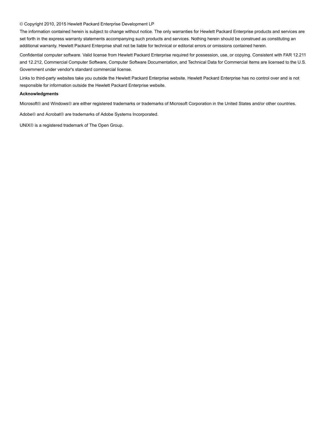#### © Copyright 2010, 2015 Hewlett Packard Enterprise Development LP

The information contained herein is subject to change without notice. The only warranties for Hewlett Packard Enterprise products and services are set forth in the express warranty statements accompanying such products and services. Nothing herein should be construed as constituting an additional warranty. Hewlett Packard Enterprise shall not be liable for technical or editorial errors or omissions contained herein.

Confidential computer software. Valid license from Hewlett Packard Enterprise required for possession, use, or copying. Consistent with FAR 12.211 and 12.212, Commercial Computer Software, Computer Software Documentation, and Technical Data for Commercial Items are licensed to the U.S. Government under vendor's standard commercial license.

Links to third-party websites take you outside the Hewlett Packard Enterprise website. Hewlett Packard Enterprise has no control over and is not responsible for information outside the Hewlett Packard Enterprise website.

#### **Acknowledgments**

Microsoft® and Windows® are either registered trademarks or trademarks of Microsoft Corporation in the United States and/or other countries.

Adobe® and Acrobat® are trademarks of Adobe Systems Incorporated.

UNIX® is a registered trademark of The Open Group.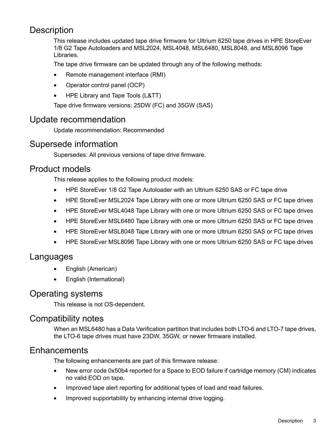# **Description**

This release includes updated tape drive firmware for Ultrium 6250 tape drives in HPE StoreEver 1/8 G2 Tape Autoloaders and MSL2024, MSL4048, MSL6480, MSL8048, and MSL8096 Tape Libraries.

The tape drive firmware can be updated through any of the following methods:

- Remote management interface (RMI)
- Operator control panel (OCP)
- HPE Library and Tape Tools (L&TT)

Tape drive firmware versions: 25DW (FC) and 35GW (SAS)

# Update recommendation

Update recommendation: Recommended

# Supersede information

Supersedes: All previous versions of tape drive firmware.

# Product models

This release applies to the following product models:

- HPE StoreEver 1/8 G2 Tape Autoloader with an Ultrium 6250 SAS or FC tape drive
- HPE StoreEver MSL2024 Tape Library with one or more Ultrium 6250 SAS or FC tape drives
- HPE StoreEver MSL4048 Tape Library with one or more Ultrium 6250 SAS or FC tape drives
- HPE StoreEver MSL6480 Tape Library with one or more Ultrium 6250 SAS or FC tape drives
- HPE StoreEver MSL8048 Tape Library with one or more Ultrium 6250 SAS or FC tape drives
- HPE StoreEver MSL8096 Tape Library with one or more Ultrium 6250 SAS or FC tape drives

# Languages

- English (American)
- English (International)

# Operating systems

This release is not OS-dependent.

# Compatibility notes

When an MSL6480 has a Data Verification partition that includes both LTO-6 and LTO-7 tape drives, the LTO-6 tape drives must have 23DW, 35GW, or newer firmware installed.

# **Enhancements**

The following enhancements are part of this firmware release:

- New error code 0x50b4 reported for a Space to EOD failure if cartridge memory (CM) indicates no valid EOD on tape.
- Improved tape alert reporting for additional types of load and read failures.
- Improved supportability by enhancing internal drive logging.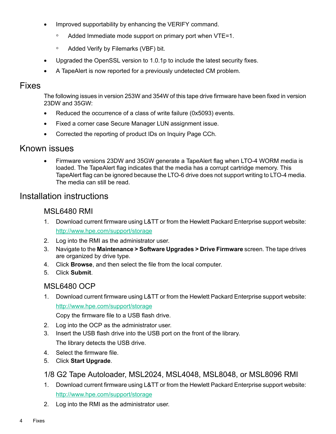- Improved supportability by enhancing the VERIFY command.
	- Added Immediate mode support on primary port when VTE=1.
	- Added Verify by Filemarks (VBF) bit.
- Upgraded the OpenSSL version to 1.0.1p to include the latest security fixes.
- A TapeAlert is now reported for a previously undetected CM problem.

# Fixes

The following issues in version 253W and 354W of this tape drive firmware have been fixed in version 23DW and 35GW:

- Reduced the occurrence of a class of write failure (0x5093) events.
- Fixed a corner case Secure Manager LUN assignment issue.
- Corrected the reporting of product IDs on Inquiry Page CCh.

# Known issues

• Firmware versions 23DW and 35GW generate a TapeAlert flag when LTO-4 WORM media is loaded. The TapeAlert flag indicates that the media has a corrupt cartridge memory. This TapeAlert flag can be ignored because the LTO-6 drive does not support writing to LTO-4 media. The media can still be read.

# Installation instructions

#### MSL6480 RMI

- 1. Download current firmware using L&TT or from the Hewlett Packard Enterprise support website: <http://www.hpe.com/support/storage>
- 2. Log into the RMI as the administrator user.
- 3. Navigate to the **Maintenance > Software Upgrades > Drive Firmware** screen. The tape drives are organized by drive type.
- 4. Click **Browse**, and then select the file from the local computer.
- 5. Click **Submit**.

# MSL6480 OCP

1. Download current firmware using L&TT or from the Hewlett Packard Enterprise support website: <http://www.hpe.com/support/storage>

Copy the firmware file to a USB flash drive.

- 2. Log into the OCP as the administrator user.
- 3. Insert the USB flash drive into the USB port on the front of the library. The library detects the USB drive.
- 4. Select the firmware file.
- 5. Click **Start Upgrade**.

# 1/8 G2 Tape Autoloader, MSL2024, MSL4048, MSL8048, or MSL8096 RMI

- 1. Download current firmware using L&TT or from the Hewlett Packard Enterprise support website: <http://www.hpe.com/support/storage>
- 2. Log into the RMI as the administrator user.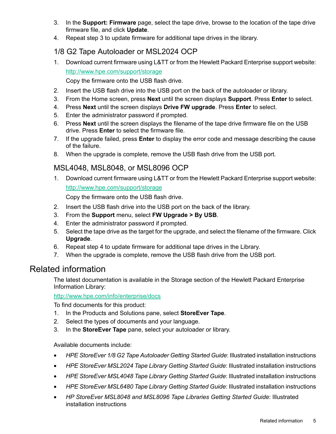- 3. In the **Support: Firmware** page, select the tape drive, browse to the location of the tape drive firmware file, and click **Update**.
- 4. Repeat step 3 to update firmware for additional tape drives in the library.

# 1/8 G2 Tape Autoloader or MSL2024 OCP

1. Download current firmware using L&TT or from the Hewlett Packard Enterprise support website: <http://www.hpe.com/support/storage>

Copy the firmware onto the USB flash drive.

- 2. Insert the USB flash drive into the USB port on the back of the autoloader or library.
- 3. From the Home screen, press **Next** until the screen displays **Support**. Press **Enter** to select.
- 4. Press **Next** until the screen displays **Drive FW upgrade**. Press **Enter** to select.
- 5. Enter the administrator password if prompted.
- 6. Press **Next** until the screen displays the filename of the tape drive firmware file on the USB drive. Press **Enter** to select the firmware file.
- 7. If the upgrade failed, press **Enter** to display the error code and message describing the cause of the failure.
- 8. When the upgrade is complete, remove the USB flash drive from the USB port.

# MSL4048, MSL8048, or MSL8096 OCP

1. Download current firmware using L&TT or from the Hewlett Packard Enterprise support website: <http://www.hpe.com/support/storage>

Copy the firmware onto the USB flash drive.

- 2. Insert the USB flash drive into the USB port on the back of the library.
- 3. From the **Support** menu, select **FW Upgrade > By USB**.
- 4. Enter the administrator password if prompted.
- 5. Select the tape drive as the target for the upgrade, and select the filename of the firmware. Click **Upgrade**.
- 6. Repeat step 4 to update firmware for additional tape drives in the Library.
- 7. When the upgrade is complete, remove the USB flash drive from the USB port.

# Related information

The latest documentation is available in the Storage section of the Hewlett Packard Enterprise Information Library:

#### <http://www.hpe.com/info/enterprise/docs>

To find documents for this product:

- 1. In the Products and Solutions pane, select **StoreEver Tape**.
- 2. Select the types of documents and your language.
- 3. In the **StoreEver Tape** pane, select your autoloader or library.

Available documents include:

- *HPE StoreEver 1/8 G2 Tape Autoloader Getting Started Guide*: Illustrated installation instructions
- *HPE StoreEver MSL2024 Tape Library Getting Started Guide*: Illustrated installation instructions
- *HPE StoreEver MSL4048 Tape Library Getting Started Guide*: Illustrated installation instructions
- *HPE StoreEver MSL6480 Tape Library Getting Started Guide*: Illustrated installation instructions
- *HP StoreEver MSL8048 and MSL8096 Tape Libraries Getting Started Guide*: Illustrated installation instructions